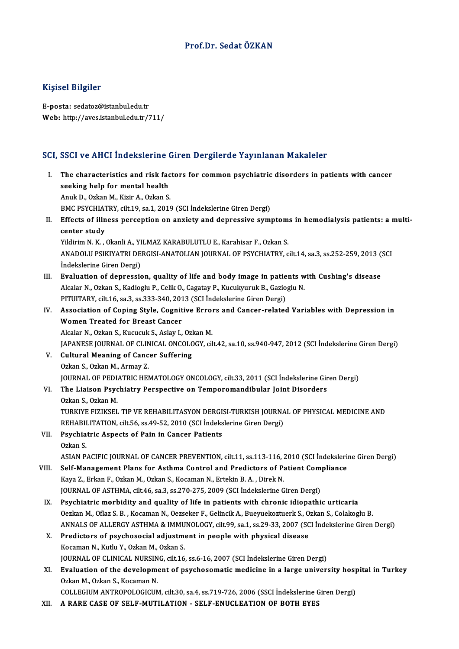#### Prof.Dr. SedatÖZKAN

#### Kişisel Bilgiler

E-posta: sedatoz@istanbul.edu.tr Web: http://aves.istanbul.edu.tr/711/

#### SCI, SSCI ve AHCI İndekslerine Giren Dergilerde Yayınlanan Makaleler

- I. SSCI ve AHCI Indekslerine Giren Dergilerde Yayınlanan Makaleler<br>I. The characteristics and risk factors for common psychiatric disorders in patients with cancer<br>Seeking help for mental health seeking help for meetistics and risk factorisation of the characteristics and risk factorisation of the characteristics and risk factorisation of the characteristics and risk factorisation of the characteristics and contai The characteristics and risk factorial seeking help for mental health<br>Anuk D., Ozkan M., Kizir A., Ozkan S.<br>PMC PSYCHIATPV silt 19 se 1 2016 seeking help for mental health<br>Anuk D., Ozkan M., Kizir A., Ozkan S.<br>BMC PSYCHIATRY, cilt.19, sa.1, 2019 (SCI İndekslerine Giren Dergi)<br>Effects of illness persention on anviety and dennessiye symi Anuk D., Ozkan M., Kizir A., Ozkan S.<br>I . BMC PSYCHIATRY, cilt.19, sa.1, 2019 (SCI İndekslerine Giren Dergi)<br>II. Effects of illness perception on anxiety and depressive symptoms in hemodialysis patients: a multi-<br>contor st BMC PSYCHIAT<br>Effects of illn<br>center study<br>Vildinim N-K Effects of illness perception on anxiety and depressive symptom<br>center study<br>Yildirim N. K. , Okanli A., YILMAZ KARABULUTLU E., Karahisar F., Ozkan S.<br>ANADOLU BSIKIVATRI DERGISLANATOLIAN JOURNAL OF BSYCHIATRY 2 center study<br>Yildirim N. K. , Okanli A., YILMAZ KARABULUTLU E., Karahisar F., Ozkan S.<br>ANADOLU PSIKIYATRI DERGISI-ANATOLIAN JOURNAL OF PSYCHIATRY, cilt.14, sa.3, ss.252-259, 2013 (SCI İndekslerine Giren Dergi) ANADOLU PSIKIYATRI DERGISI-ANATOLIAN JOURNAL OF PSYCHIATRY, cilt.14, sa.3, ss.252-259, 2013 (<br>
III. Evaluation of depression, quality of life and body image in patients with Cushing's disease<br>
Alsolar N. Orkan S. Kadiagh: İndekslerine Giren Dergi)<br>**Evaluation of depression, quality of life and body image in patients w<br>Alcalar N., Ozkan S., Kadioglu P., Celik O., Cagatay P., Kucukyuruk B., Gazioglu N.<br>PITUITARY, silt 16, se 3, se 323, 340, 3** Evaluation of depression, quality of life and body image in patie<br>Alcalar N., Ozkan S., Kadioglu P., Celik O., Cagatay P., Kucukyuruk B., Gazio<br>PITUITARY, cilt.16, sa.3, ss.333-340, 2013 (SCI İndekslerine Giren Dergi)<br>Asso Alcalar N., Ozkan S., Kadioglu P., Celik O., Cagatay P., Kucukyuruk B., Gazioglu N.<br>PITUITARY, cilt.16, sa.3, ss.333-340, 2013 (SCI İndekslerine Giren Dergi)<br>IV. Association of Coping Style, Cognitive Errors and Cancer-rel PITUITARY, cilt.16, sa.3, ss.333-340, 201<br>Association of Coping Style, Cognit<br>Women Treated for Breast Cancer Association of Coping Style, Cognitive Errol<br>Women Treated for Breast Cancer<br>Alcalar N., Ozkan S., Kucucuk S., Aslay I., Ozkan M.<br>JARANESE JOURNAL OF CLINICAL ONCOLOCY sil Women Treated for Breast Cancer<br>Alcalar N., Ozkan S., Kucucuk S., Aslay I., Ozkan M.<br>JAPANESE JOURNAL OF CLINICAL ONCOLOGY, cilt.42, sa.10, ss.940-947, 2012 (SCI İndekslerine Giren Dergi) V. Cultural Meaning of Cancer Suffering OzkanS.,OzkanM.,ArmayZ. Cultural Meaning of Cancer Suffering<br>Ozkan S., Ozkan M., Armay Z.<br>JOURNAL OF PEDIATRIC HEMATOLOGY ONCOLOGY, cilt.33, 2011 (SCI İndekslerine Giren Dergi)<br>The Lisison Peychistry Perspective en Temperamendibular Jeint Disorde VI. The Liaison Psychiatry Perspective on Temporomandibular Joint Disorders **JOURNAL OF PEDL<br>The Liaison Psyc<br>Ozkan S., Ozkan M.<br>TURKIVE EIZIKSEL** The Liaison Psychiatry Perspective on Temporomandibular Joint Disorders<br>Ozkan S., Ozkan M.<br>TURKIYE FIZIKSEL TIP VE REHABILITASYON DERGISI-TURKISH JOURNAL OF PHYSICAL MEDICINE AND<br>REHABILITATION silt 56, 88.49.52.2010 (SCI Ozkan S., Ozkan M.<br>TURKIYE FIZIKSEL TIP VE REHABILITASYON DERGISI-TURKISH JOURNA<br>REHABILITATION, cilt.56, ss.49-52, 2010 (SCI İndekslerine Giren Dergi)<br>Pevehiatria Aspects of Pein in Cansor Petients TURKIYE FIZIKSEL TIP VE REHABILITASYON DERGI:<br>REHABILITATION, cilt.56, ss.49-52, 2010 (SCI İndeks<br>VII. Psychiatric Aspects of Pain in Cancer Patients REHABII<br>Psychia<br>Ozkan S. Ozkan S.<br>ASIAN PACIFIC JOURNAL OF CANCER PREVENTION, cilt.11, ss.113-116, 2010 (SCI İndekslerine Giren Dergi) VIII. Self-Management Plans for Asthma Control and Predictors of Patient Compliance ASIAN PACIFIC JOURNAL OF CANCER PREVENTION, cilt.11, ss.113-116, .<br>Self-Management Plans for Asthma Control and Predictors of P.<br>Kaya Z., Erkan F., Ozkan M., Ozkan S., Kocaman N., Ertekin B. A. , Direk N.<br>JOURNAL OF ASTUMA Self-Management Plans for Asthma Control and Predictors of Patient Com<br>Kaya Z., Erkan F., Ozkan M., Ozkan S., Kocaman N., Ertekin B. A. , Direk N.<br>JOURNAL OF ASTHMA, cilt.46, sa.3, ss.270-275, 2009 (SCI İndekslerine Giren Kaya Z., Erkan F., Ozkan M., Ozkan S., Kocaman N., Ertekin B. A. , Direk N.<br>JOURNAL OF ASTHMA, cilt.46, sa.3, ss.270-275, 2009 (SCI Indekslerine Giren Dergi)<br>IX. Psychiatric morbidity and quality of life in patients with c JOURNAL OF ASTHMA, cilt.46, sa.3, ss.270-275, 2009 (SCI İndekslerine Giren Dergi)<br>Psychiatric morbidity and quality of life in patients with chronic idiopathic urticaria<br>Oezkan M., Oflaz S. B., Kocaman N., Oezseker F., Gel Psychiatric morbidity and quality of life in patients with chronic idiopathic urticaria<br>Oezkan M., Oflaz S. B. , Kocaman N., Oezseker F., Gelincik A., Bueyuekoztuerk S., Ozkan S., Colakoglu B.<br>ANNALS OF ALLERGY ASTHMA & IM Oezkan M., Oflaz S. B. , Kocaman N., Oezseker F., Gelincik A., Bueyuekoztuerk S., Ozkan S., Colakoglu B.<br>ANNALS OF ALLERGY ASTHMA & IMMUNOLOGY, cilt.99, sa.1, ss.29-33, 2007 (SCI Indekslerine Giren<br>X. Predictors of psychos ANNALS OF ALLERGY ASTHMA & IMMU<br>Predictors of psychosocial adjustme<br>Kocaman N., Kutlu Y., Ozkan M., Ozkan S.<br>JOUPNAL OF CLINICAL NUPSINC silt 16 Predictors of psychosocial adjustment in people with physical disease<br>Kocaman N., Kutlu Y., Ozkan M., Ozkan S.<br>JOURNAL OF CLINICAL NURSING, cilt.16, ss.6-16, 2007 (SCI İndekslerine Giren Dergi)<br>Evaluation of the developmen XI. Evaluation of the development of psychosomatic medicine in a large university hospital in Turkey Ozkan M., Ozkan S., Kocaman N. **JOURNAL OF CLINICAL NURSIN<br>Evaluation of the developme**<br>Ozkan M., Ozkan S., Kocaman N.<br>COLLECUIM ANTROPOLOCICUM Evaluation of the development of psychosomatic medicine in a large university hosp<br>Ozkan M., Ozkan S., Kocaman N.<br>COLLEGIUM ANTROPOLOGICUM, cilt.30, sa.4, ss.719-726, 2006 (SSCI İndekslerine Giren Dergi)<br>A BABE CASE OE SEL Ozkan M., Ozkan S., Kocaman N.<br>COLLEGIUM ANTROPOLOGICUM, cilt.30, sa.4, ss.719-726, 2006 (SSCI İndekslerine C<br>XII. A RARE CASE OF SELF-MUTILATION - SELF-ENUCLEATION OF BOTH EYES
-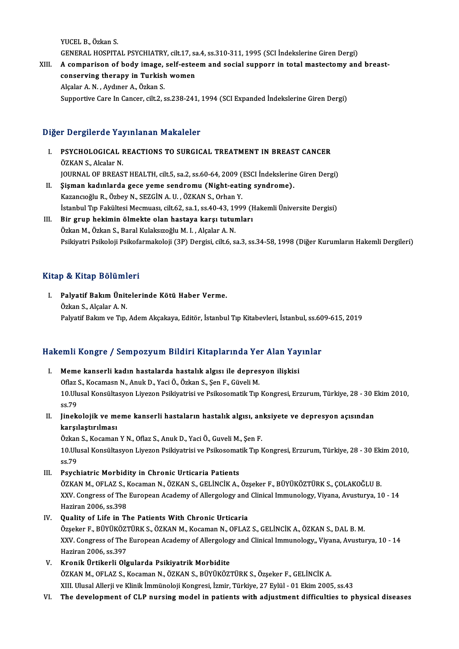YUCEL B., Özkan S.

YUCEL B., Özkan S.<br>GENERAL HOSPITAL PSYCHIATRY, cilt.17, sa.4, ss.310-311, 1995 (SCI İndekslerine Giren Dergi)<br>A semnarisan of bady image, self esteem and sosial sunnary in tetal mastestamy and

YUCEL B., Özkan S.<br>GENERAL HOSPITAL PSYCHIATRY, cilt.17, sa.4, ss.310-311, 1995 (SCI İndekslerine Giren Dergi)<br>XIII. A comparison of body image, self-esteem and social supporr in total mastectomy and breast-<br>conserving GENERAL HOSPITAL PSYCHIATRY, cilt.17, sa<br>A comparison of body image, self-ested<br>conserving therapy in Turkish women XIII. A comparison of body image, self-esteem and social supporr in total mastectomy and breast-<br>conserving therapy in Turkish women<br>Alçalar A.N., Aydıner A., Özkan S. Supportive Care In Cancer, cilt.2, ss.238-241, 1994 (SCI Expanded İndekslerine Giren Dergi)

### Diğer Dergilerde Yayınlanan Makaleler

Iğer Dergilerde Yayınlanan Makaleler<br>I. PSYCHOLOGICAL REACTIONS TO SURGICAL TREATMENT IN BREAST CANCER **EXAMPLE COMPASSION**<br>
FOR S., Alcalar N.<br>
IQUEMAL OF PREAS PSYCHOLOGICAL REACTIONS TO SURGICAL TREATMENT IN BREAST CANCER<br>ÖZKAN S., Alcalar N.<br>JOURNAL OF BREAST HEALTH, cilt.5, sa.2, ss.60-64, 2009 (ESCI İndekslerine Giren Dergi)<br>Siaman kadınlarda 2009 yama sandromu (Night eating ÖZKAN S., Alcalar N.<br>JOURNAL OF BREAST HEALTH, cilt.5, sa.2, ss.60-64, 2009 (ESCI İndekslerine<br>II. Şişman kadınlarda gece yeme sendromu (Night-eating syndrome).<br>Kazancıoğlu R., Özbey N., SEZGİN A. U. , ÖZKAN S., Orhan Y. JOURNAL OF BREAST HEALTH, cilt.5, sa.2, ss.60-64, 2009 (<br>**Şişman kadınlarda gece yeme sendromu (Night-eati**<br>Kazancıoğlu R., Özbey N., SEZGİN A. U. , ÖZKAN S., Orhan Y.<br>İstanbul Tın Falültesi Mesmuası, silt 62, sa.1, sa.40,

İstanbul Tıp Fakültesi Mecmuası, cilt.62, sa.1, ss.40-43, 1999 (Hakemli Üniversite Dergisi)

III. Bir grup hekimin ölmekte olan hastaya karşı tutumları Özkan M., Özkan S., Baral Kulaksızoğlu M. I., Alçalar A. N. Psikiyatri Psikoloji Psikofarmakoloji (3P) Dergisi, cilt.6, sa.3, ss.34-58, 1998 (Diğer Kurumların Hakemli Dergileri)

#### Kitap & Kitap Bölümleri

Itap & Kitap Bölümleri<br>I. Palyatif Bakım Ünitelerinde Kötü Haber Verme.<br>Öskap S. Alsalar A N p & Hitap Boranni<br>Palyatif Bakım Ünit<br>Özkan S., Alçalar A. N.<br>Pakıstif Bakım ve Tın Özkan S., Alçalar A. N.<br>Palyatif Bakım ve Tıp, Adem Akçakaya, Editör, İstanbul Tıp Kitabevleri, İstanbul, ss.609-615, 2019

# raiyatlı Bakım ve Tip, Adem Akçakaya, Editor, İstanbul Tip Kitabevleri, İstanbul, Ss.bu<br>Hakemli Kongre / Sempozyum Bildiri Kitaplarında Yer Alan Yayınlar

- akemli Kongre / Sempozyum Bildiri Kitaplarında Yer Alan Yay<br>I. Meme kanserli kadın hastalarda hastalık algısı ile depresyon ilişkisi Official Songreet, Sompozytani Stratif interpretinted to<br>Meme kanserli kadın hastalarda hastalık algısı ile depres<br>Oflaz S., Kocamasn N., Anuk D., Yaci Ö., Özkan S., Şen F., Güveli M.<br>10 Ulusal Konsültasyon Liveren Balkyat 1. Meme kanserli kadın hastalarda hastalık algısı ile depresyon ilişkisi<br>Oflaz S., Kocamasn N., Anuk D., Yaci Ö., Özkan S., Şen F., Güveli M.<br>10.Ulusal Konsültasyon Liyezon Psikiyatrisi ve Psikosomatik Tıp Kongresi, Erzuru Oflaz<br>10.Ulu<br>ss.79<br>Linek 10.Ulusal Konsültasyon Liyezon Psikiyatrisi ve Psikosomatik Tıp Kongresi, Erzurum, Türkiye, 28 - 30 E<br>ss.79<br>II. Jinekolojik ve meme kanserli hastaların hastalık algısı, anksiyete ve depresyon açısından<br>karsılastırılmas
- ss.79<br>Jinekolojik ve me<br>karşılaştırılması<br>Örkan S. Kosaman Jinekolojik ve meme kanserli hastaların hastalık algısı, an<br>karşılaştırılması<br>Özkan S., Kocaman Y N., Oflaz S., Anuk D., Yaci Ö., Guveli M., Şen F.<br>10 Ulusal Konsültasyon Liveren Belkiyatrisi ve Belkesematik T.n k

**karşılaştırılması**<br>Özkan S., Kocaman Y N., Oflaz S., Anuk D., Yaci Ö., Guveli M., Şen F.<br>10.Ulusal Konsültasyon Liyezon Psikiyatrisi ve Psikosomatik Tıp Kongresi, Erzurum, Türkiye, 28 - 30 Ekim 2010,<br>98.<sup>79</sup> Özkan<br>10.Ulu<br>ss.79<br>Bayek ss.79<br>III. Psychiatric Morbidity in Chronic Urticaria Patients

ss.79<br>Psychiatric Morbidity in Chronic Urticaria Patients<br>ÖZKAN M., OFLAZ S., Kocaman N., ÖZKAN S., GELİNCİK A., Özşeker F., BÜYÜKÖZTÜRK S., ÇOLAKOĞLU B.<br>YYV Congress of The European Asademy of Allerselegy and Clinical Imm Psychiatric Morbidity in Chronic Urticaria Patients<br>ÖZKAN M., OFLAZ S., Kocaman N., ÖZKAN S., GELİNCİK A., Özşeker F., BÜYÜKÖZTÜRK S., ÇOLAKOĞLU B.<br>XXV. Congress of The European Academy of Allergology and Clinical Immunolo ÖZKAN M., OFLAZ S., I<br>XXV. Congress of The<br>Haziran 2006, ss.398<br>Quality of Life in Th XXV. Congress of The European Academy of Allergology and Clinical Immunology, Viyana, Avusturya, 10 - 14<br>Haziran 2006, ss.398<br>IV. Quality of Life in The Patients With Chronic Urticaria

Haziran 2006, ss.398<br>Quality of Life in The Patients With Chronic Urticaria<br>Özşeker F., BÜYÜKÖZTÜRK S., ÖZKAN M., Kocaman N., OFLAZ S., GELİNCİK A., ÖZKAN S., DAL B. M.<br>XXV. Congress of The Euroneen Asedemy of Allergelegy XXV. Congress of The European Academy of Allergology and Clinical Immunology,, Viyana, Avusturya, 10 - 14<br>Haziran 2006, ss.397 Özşeker F., BÜYÜKÖZT<br>XXV. Congress of The<br>Haziran 2006, ss.397<br>Kranik Ürtikanli Ola

V. Kronik Ürtikerli Olgularda Psikiyatrik Morbidite

ÖZKAN M., OFLAZ S., Kocaman N., ÖZKAN S., BÜYÜKÖZTÜRK S., Özşeker F., GELİNCİK A. XIII. Ulusal Allerji ve Klinik İmmünoloji Kongresi, İzmir, Türkiye, 27 Eylül - 01 Ekim 2005, ss.43

VI. The development of CLP nursingmodel in patients with adjustment difficulties to physical diseases